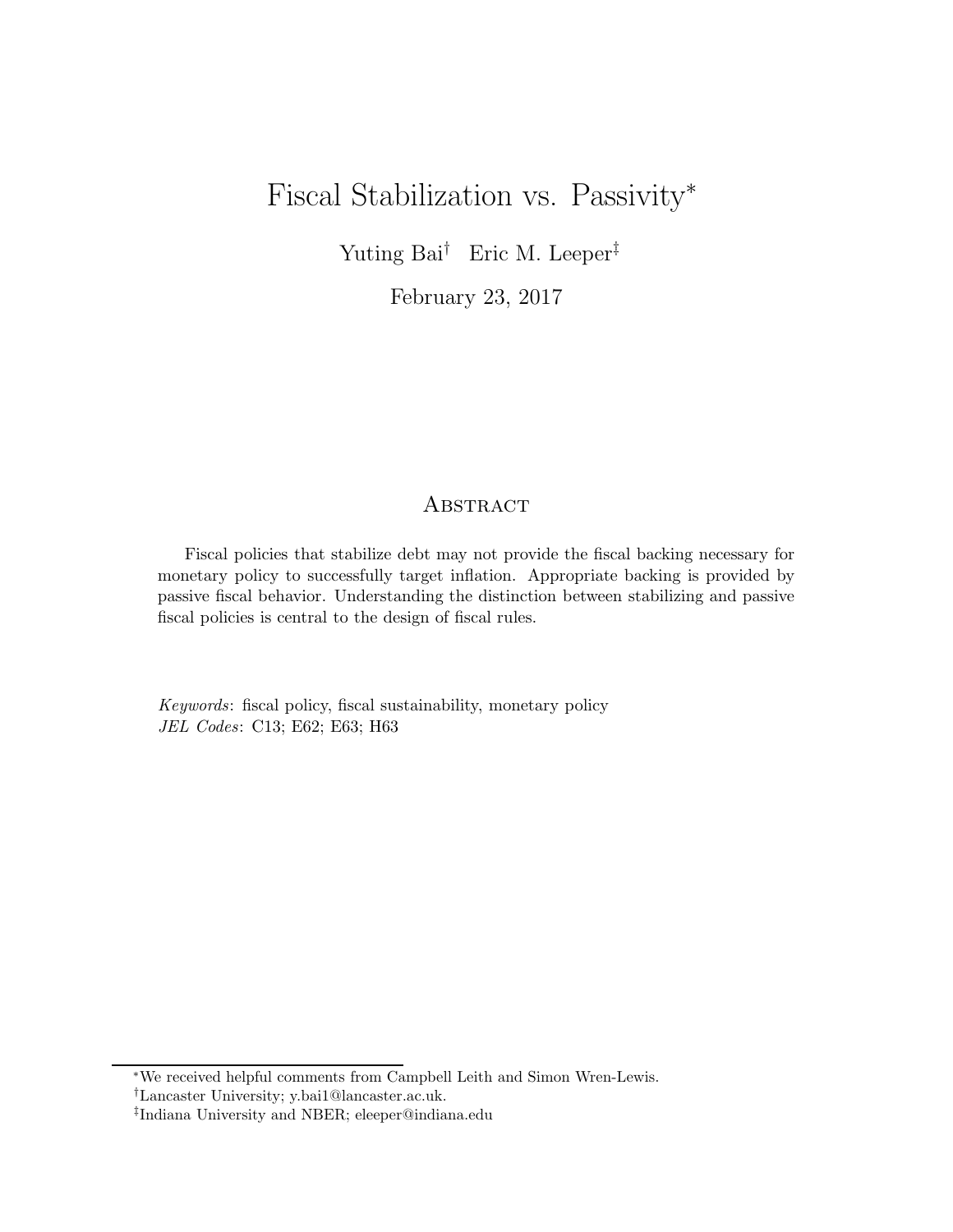# Fiscal Stabilization vs. Passivity<sup>∗</sup>

Yuting Bai† Eric M. Leeper‡

February 23, 2017

# **ABSTRACT**

Fiscal policies that stabilize debt may not provide the fiscal backing necessary for monetary policy to successfully target inflation. Appropriate backing is provided by passive fiscal behavior. Understanding the distinction between stabilizing and passive fiscal policies is central to the design of fiscal rules.

Keywords: fiscal policy, fiscal sustainability, monetary policy JEL Codes: C13; E62; E63; H63

<sup>∗</sup>We received helpful comments from Campbell Leith and Simon Wren-Lewis.

<sup>†</sup>Lancaster University; y.bai1@lancaster.ac.uk.

<sup>‡</sup> Indiana University and NBER; eleeper@indiana.edu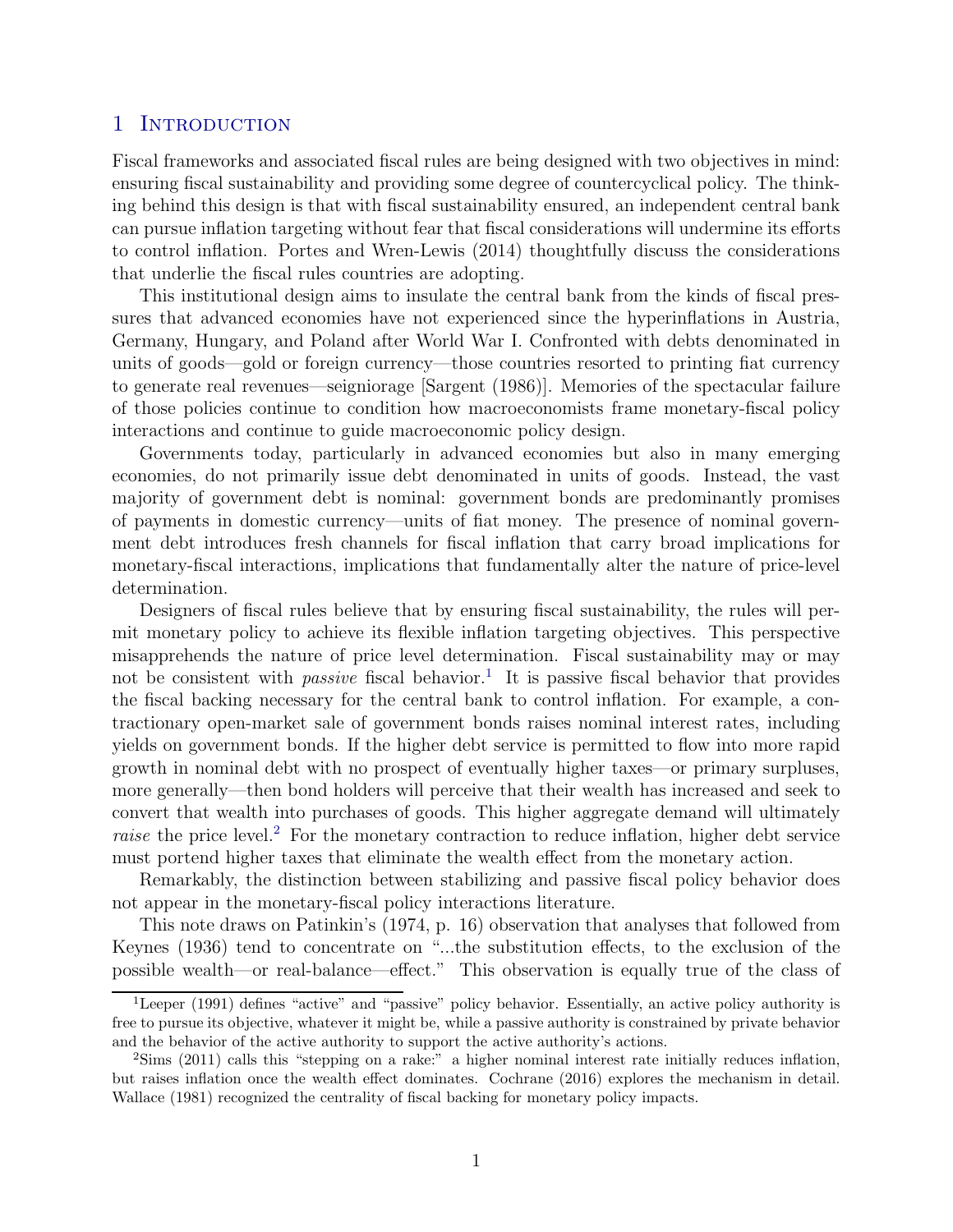#### 1 INTRODUCTION

Fiscal frameworks and associated fiscal rules are being designed with two objectives in mind: ensuring fiscal sustainability and providing some degree of countercyclical policy. The thinking behind this design is that with fiscal sustainability ensured, an independent central bank can pursue inflation targeting without fear that fiscal considerations will undermine its efforts to control inflation. [Portes and Wren-Lewis \(2014](#page-9-0)) thoughtfully discuss the considerations that underlie the fiscal rules countries are adopting.

This institutional design aims to insulate the central bank from the kinds of fiscal pressures that advanced economies have not experienced since the hyperinflations in Austria, Germany, Hungary, and Poland after World War I. Confronted with debts denominated in units of goods—gold or foreign currency—those countries resorted to printing fiat currency to generate real revenues—seigniorage [\[Sargent \(1986](#page-9-1))]. Memories of the spectacular failure of those policies continue to condition how macroeconomists frame monetary-fiscal policy interactions and continue to guide macroeconomic policy design.

Governments today, particularly in advanced economies but also in many emerging economies, do not primarily issue debt denominated in units of goods. Instead, the vast majority of government debt is nominal: government bonds are predominantly promises of payments in domestic currency—units of fiat money. The presence of nominal government debt introduces fresh channels for fiscal inflation that carry broad implications for monetary-fiscal interactions, implications that fundamentally alter the nature of price-level determination.

Designers of fiscal rules believe that by ensuring fiscal sustainability, the rules will permit monetary policy to achieve its flexible inflation targeting objectives. This perspective misapprehends the nature of price level determination. Fiscal sustainability may or may not be consistent with *passive* fiscal behavior.<sup>[1](#page-1-0)</sup> It is passive fiscal behavior that provides the fiscal backing necessary for the central bank to control inflation. For example, a contractionary open-market sale of government bonds raises nominal interest rates, including yields on government bonds. If the higher debt service is permitted to flow into more rapid growth in nominal debt with no prospect of eventually higher taxes—or primary surpluses, more generally—then bond holders will perceive that their wealth has increased and seek to convert that wealth into purchases of goods. This higher aggregate demand will ultimately *raise* the price level.<sup>[2](#page-1-1)</sup> For the monetary contraction to reduce inflation, higher debt service must portend higher taxes that eliminate the wealth effect from the monetary action.

Remarkably, the distinction between stabilizing and passive fiscal policy behavior does not appear in the monetary-fiscal policy interactions literature.

This note draws on Patinkin's [\(1974](#page-9-2), p. 16) observation that analyses that followed from [Keynes \(1936](#page-8-0)) tend to concentrate on "...the substitution effects, to the exclusion of the possible wealth—or real-balance—effect." This observation is equally true of the class of

<span id="page-1-0"></span><sup>&</sup>lt;sup>1</sup>[Leeper \(1991\)](#page-8-1) defines "active" and "passive" policy behavior. Essentially, an active policy authority is free to pursue its objective, whatever it might be, while a passive authority is constrained by private behavior and the behavior of the active authority to support the active authority's actions.

<span id="page-1-1"></span><sup>&</sup>lt;sup>2</sup>[Sims \(2011](#page-9-3)) calls this "stepping on a rake:" a higher nominal interest rate initially reduces inflation, but raises inflation once the wealth effect dominates. [Cochrane \(2016](#page-8-2)) explores the mechanism in detail. [Wallace \(1981](#page-9-4)) recognized the centrality of fiscal backing for monetary policy impacts.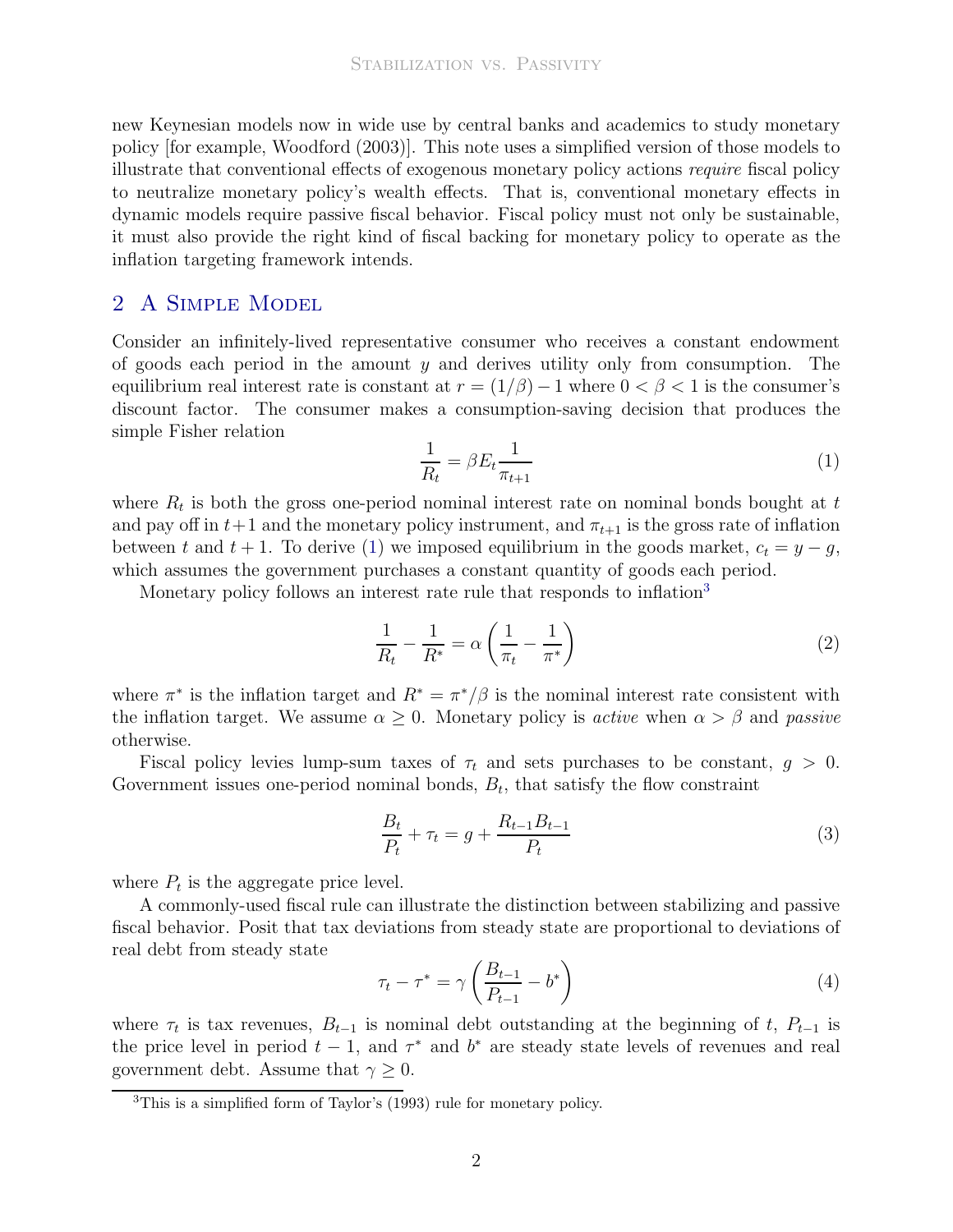new Keynesian models now in wide use by central banks and academics to study monetary policy [for example, [Woodford \(2003\)](#page-9-5)]. This note uses a simplified version of those models to illustrate that conventional effects of exogenous monetary policy actions require fiscal policy to neutralize monetary policy's wealth effects. That is, conventional monetary effects in dynamic models require passive fiscal behavior. Fiscal policy must not only be sustainable, it must also provide the right kind of fiscal backing for monetary policy to operate as the inflation targeting framework intends.

### 2 A Simple Model

Consider an infinitely-lived representative consumer who receives a constant endowment of goods each period in the amount  $y$  and derives utility only from consumption. The equilibrium real interest rate is constant at  $r = (1/\beta) - 1$  where  $0 < \beta < 1$  is the consumer's discount factor. The consumer makes a consumption-saving decision that produces the simple Fisher relation

<span id="page-2-0"></span>
$$
\frac{1}{R_t} = \beta E_t \frac{1}{\pi_{t+1}}\tag{1}
$$

where  $R_t$  is both the gross one-period nominal interest rate on nominal bonds bought at t and pay off in  $t+1$  and the monetary policy instrument, and  $\pi_{t+1}$  is the gross rate of inflation between t and  $t + 1$ . To derive [\(1\)](#page-2-0) we imposed equilibrium in the goods market,  $c_t = y - g$ , which assumes the government purchases a constant quantity of goods each period.

Monetary policy follows an interest rate rule that responds to inflation<sup>[3](#page-2-1)</sup>

<span id="page-2-4"></span>
$$
\frac{1}{R_t} - \frac{1}{R^*} = \alpha \left( \frac{1}{\pi_t} - \frac{1}{\pi^*} \right) \tag{2}
$$

where  $\pi^*$  is the inflation target and  $R^* = \pi^*/\beta$  is the nominal interest rate consistent with the inflation target. We assume  $\alpha \geq 0$ . Monetary policy is *active* when  $\alpha > \beta$  and *passive* otherwise.

Fiscal policy levies lump-sum taxes of  $\tau_t$  and sets purchases to be constant,  $g > 0$ . Government issues one-period nominal bonds,  $B_t$ , that satisfy the flow constraint

<span id="page-2-3"></span>
$$
\frac{B_t}{P_t} + \tau_t = g + \frac{R_{t-1}B_{t-1}}{P_t}
$$
\n(3)

where  $P_t$  is the aggregate price level.

A commonly-used fiscal rule can illustrate the distinction between stabilizing and passive fiscal behavior. Posit that tax deviations from steady state are proportional to deviations of real debt from steady state

<span id="page-2-2"></span>
$$
\tau_t - \tau^* = \gamma \left( \frac{B_{t-1}}{P_{t-1}} - b^* \right) \tag{4}
$$

where  $\tau_t$  is tax revenues,  $B_{t-1}$  is nominal debt outstanding at the beginning of t,  $P_{t-1}$  is the price level in period  $t-1$ , and  $\tau^*$  and  $b^*$  are steady state levels of revenues and real government debt. Assume that  $\gamma \geq 0$ .

<span id="page-2-1"></span><sup>3</sup>This is a simplified form of Taylor's [\(1993\)](#page-9-6) rule for monetary policy.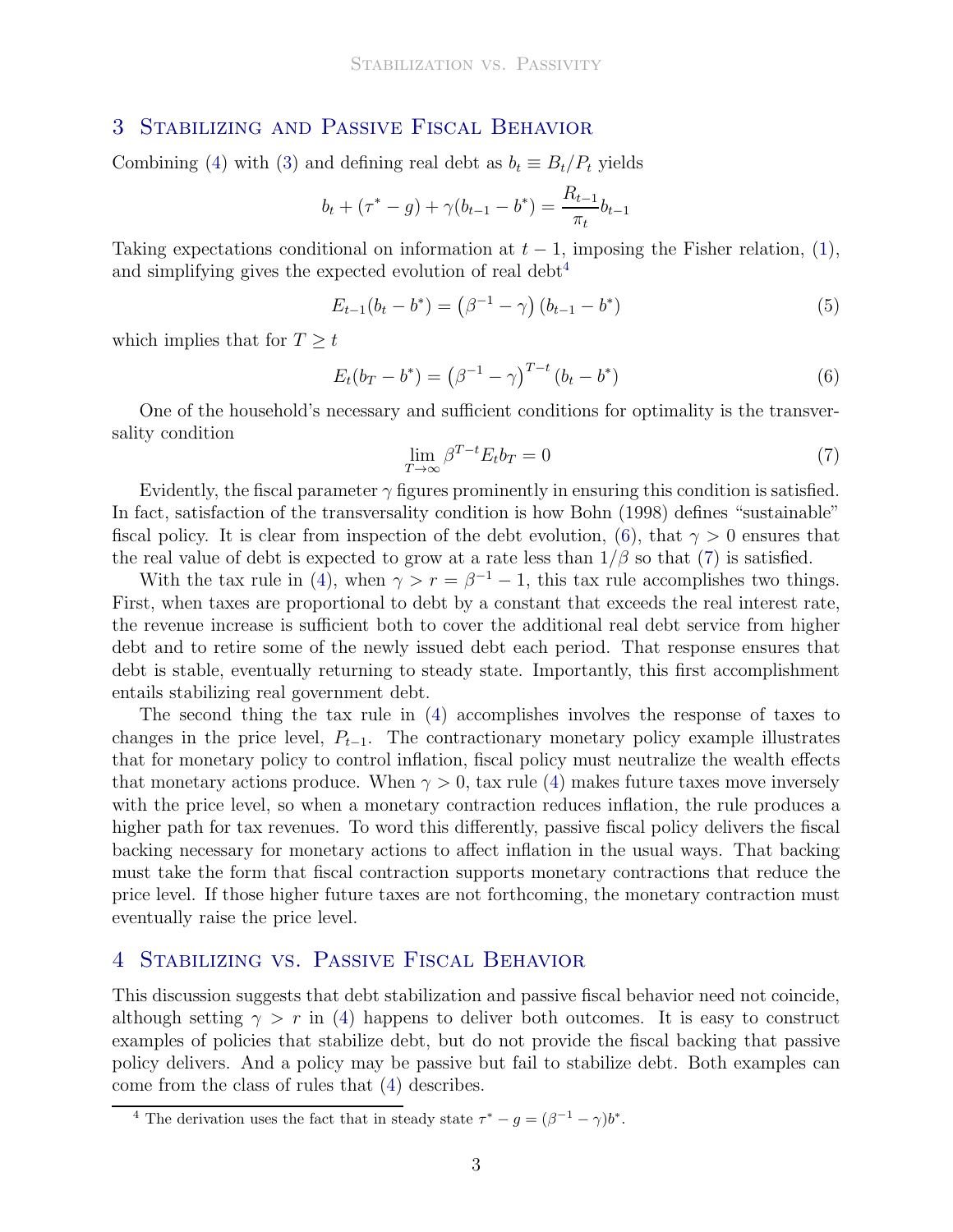#### 3 Stabilizing and Passive Fiscal Behavior

Combining [\(4\)](#page-2-2) with [\(3\)](#page-2-3) and defining real debt as  $b_t \equiv B_t/P_t$  yields

$$
b_t + (\tau^* - g) + \gamma (b_{t-1} - b^*) = \frac{R_{t-1}}{\pi_t} b_{t-1}
$$

Taking expectations conditional on information at  $t-1$ , imposing the Fisher relation, [\(1\)](#page-2-0), and simplifying gives the expected evolution of real debt<sup>[4](#page-3-0)</sup>

$$
E_{t-1}(b_t - b^*) = (\beta^{-1} - \gamma) (b_{t-1} - b^*)
$$
\n(5)

which implies that for  $T \geq t$ 

<span id="page-3-1"></span>
$$
E_t(b_T - b^*) = (\beta^{-1} - \gamma)^{T-t} (b_t - b^*)
$$
\n(6)

One of the household's necessary and sufficient conditions for optimality is the transversality condition

<span id="page-3-2"></span>
$$
\lim_{T \to \infty} \beta^{T-t} E_t b_T = 0 \tag{7}
$$

Evidently, the fiscal parameter  $\gamma$  figures prominently in ensuring this condition is satisfied. In fact, satisfaction of the transversality condition is how [Bohn \(1998](#page-8-3)) defines "sustainable" fiscal policy. It is clear from inspection of the debt evolution, [\(6\)](#page-3-1), that  $\gamma > 0$  ensures that the real value of debt is expected to grow at a rate less than  $1/\beta$  so that [\(7\)](#page-3-2) is satisfied.

With the tax rule in [\(4\)](#page-2-2), when  $\gamma > r = \beta^{-1} - 1$ , this tax rule accomplishes two things. First, when taxes are proportional to debt by a constant that exceeds the real interest rate, the revenue increase is sufficient both to cover the additional real debt service from higher debt and to retire some of the newly issued debt each period. That response ensures that debt is stable, eventually returning to steady state. Importantly, this first accomplishment entails stabilizing real government debt.

The second thing the tax rule in [\(4\)](#page-2-2) accomplishes involves the response of taxes to changes in the price level,  $P_{t-1}$ . The contractionary monetary policy example illustrates that for monetary policy to control inflation, fiscal policy must neutralize the wealth effects that monetary actions produce. When  $\gamma > 0$ , tax rule [\(4\)](#page-2-2) makes future taxes move inversely with the price level, so when a monetary contraction reduces inflation, the rule produces a higher path for tax revenues. To word this differently, passive fiscal policy delivers the fiscal backing necessary for monetary actions to affect inflation in the usual ways. That backing must take the form that fiscal contraction supports monetary contractions that reduce the price level. If those higher future taxes are not forthcoming, the monetary contraction must eventually raise the price level.

## 4 Stabilizing vs. Passive Fiscal Behavior

This discussion suggests that debt stabilization and passive fiscal behavior need not coincide, although setting  $\gamma > r$  in [\(4\)](#page-2-2) happens to deliver both outcomes. It is easy to construct examples of policies that stabilize debt, but do not provide the fiscal backing that passive policy delivers. And a policy may be passive but fail to stabilize debt. Both examples can come from the class of rules that [\(4\)](#page-2-2) describes.

<span id="page-3-0"></span><sup>&</sup>lt;sup>4</sup> The derivation uses the fact that in steady state  $\tau^* - g = (\beta^{-1} - \gamma)b^*$ .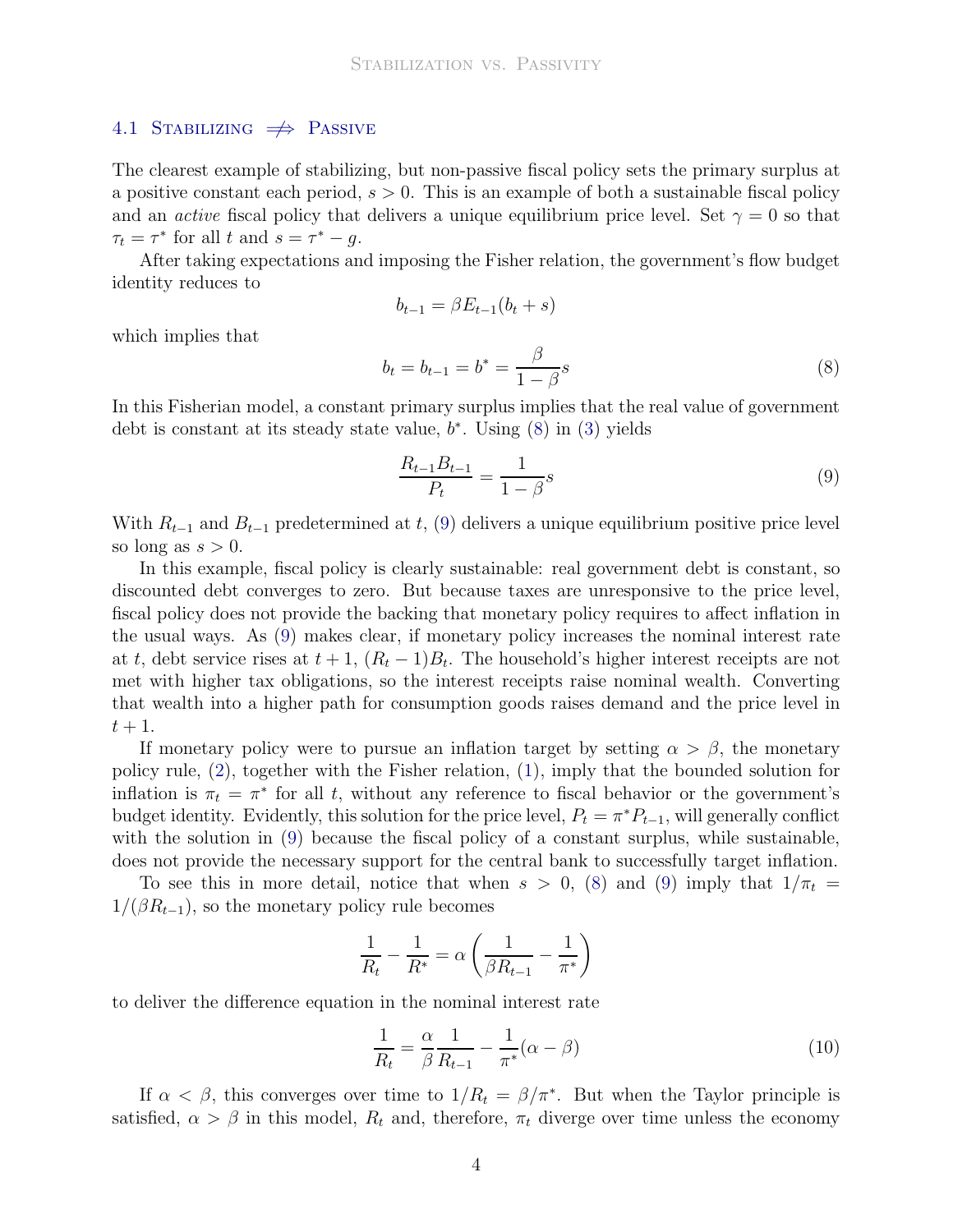#### 4.1 STABILIZING  $\Rightarrow$  PASSIVE

The clearest example of stabilizing, but non-passive fiscal policy sets the primary surplus at a positive constant each period,  $s > 0$ . This is an example of both a sustainable fiscal policy and an *active* fiscal policy that delivers a unique equilibrium price level. Set  $\gamma = 0$  so that  $\tau_t = \tau^*$  for all t and  $s = \tau^* - g$ .

After taking expectations and imposing the Fisher relation, the government's flow budget identity reduces to

$$
b_{t-1} = \beta E_{t-1}(b_t + s)
$$

which implies that

<span id="page-4-0"></span>
$$
b_t = b_{t-1} = b^* = \frac{\beta}{1 - \beta}s
$$
\n(8)

In this Fisherian model, a constant primary surplus implies that the real value of government debt is constant at its steady state value,  $b^*$ . Using  $(8)$  in  $(3)$  yields

<span id="page-4-1"></span>
$$
\frac{R_{t-1}B_{t-1}}{P_t} = \frac{1}{1-\beta}s
$$
\n(9)

With  $R_{t-1}$  and  $B_{t-1}$  predetermined at t, [\(9\)](#page-4-1) delivers a unique equilibrium positive price level so long as  $s > 0$ .

In this example, fiscal policy is clearly sustainable: real government debt is constant, so discounted debt converges to zero. But because taxes are unresponsive to the price level, fiscal policy does not provide the backing that monetary policy requires to affect inflation in the usual ways. As [\(9\)](#page-4-1) makes clear, if monetary policy increases the nominal interest rate at t, debt service rises at  $t + 1$ ,  $(R_t - 1)B_t$ . The household's higher interest receipts are not met with higher tax obligations, so the interest receipts raise nominal wealth. Converting that wealth into a higher path for consumption goods raises demand and the price level in  $t+1$ .

If monetary policy were to pursue an inflation target by setting  $\alpha > \beta$ , the monetary policy rule, [\(2\)](#page-2-4), together with the Fisher relation, [\(1\)](#page-2-0), imply that the bounded solution for inflation is  $\pi_t = \pi^*$  for all t, without any reference to fiscal behavior or the government's budget identity. Evidently, this solution for the price level,  $P_t = \pi^* P_{t-1}$ , will generally conflict with the solution in [\(9\)](#page-4-1) because the fiscal policy of a constant surplus, while sustainable, does not provide the necessary support for the central bank to successfully target inflation.

To see this in more detail, notice that when  $s > 0$ , [\(8\)](#page-4-0) and [\(9\)](#page-4-1) imply that  $1/\pi_t =$  $1/(\beta R_{t-1})$ , so the monetary policy rule becomes

$$
\frac{1}{R_t} - \frac{1}{R^*} = \alpha \left( \frac{1}{\beta R_{t-1}} - \frac{1}{\pi^*} \right)
$$

to deliver the difference equation in the nominal interest rate

<span id="page-4-2"></span>
$$
\frac{1}{R_t} = \frac{\alpha}{\beta} \frac{1}{R_{t-1}} - \frac{1}{\pi^*} (\alpha - \beta)
$$
\n(10)

If  $\alpha < \beta$ , this converges over time to  $1/R_t = \beta/\pi^*$ . But when the Taylor principle is satisfied,  $\alpha > \beta$  in this model,  $R_t$  and, therefore,  $\pi_t$  diverge over time unless the economy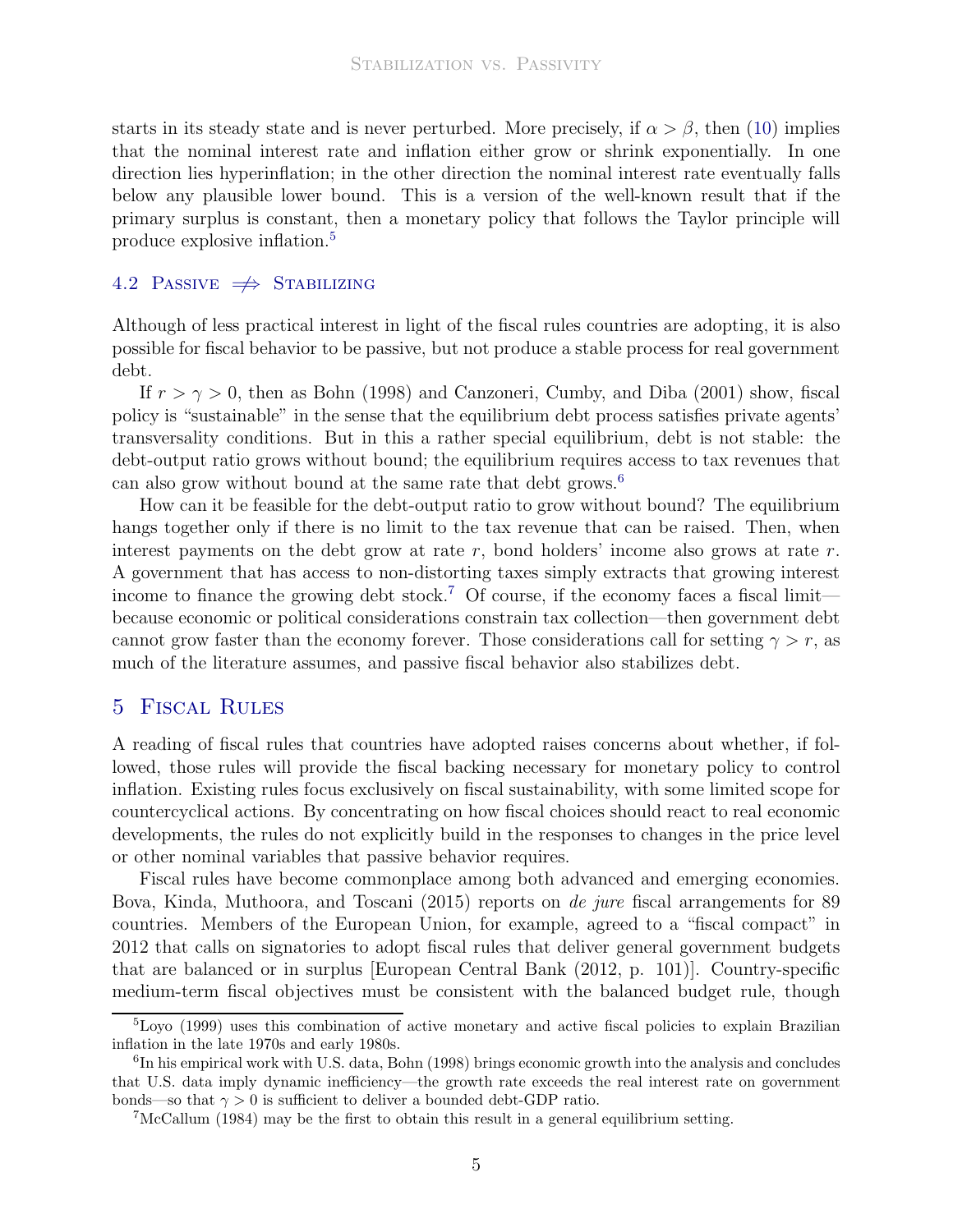starts in its steady state and is never perturbed. More precisely, if  $\alpha > \beta$ , then [\(10\)](#page-4-2) implies that the nominal interest rate and inflation either grow or shrink exponentially. In one direction lies hyperinflation; in the other direction the nominal interest rate eventually falls below any plausible lower bound. This is a version of the well-known result that if the primary surplus is constant, then a monetary policy that follows the Taylor principle will produce explosive inflation.[5](#page-5-0)

#### 4.2 PASSIVE  $\Rightarrow$  STABILIZING

Although of less practical interest in light of the fiscal rules countries are adopting, it is also possible for fiscal behavior to be passive, but not produce a stable process for real government debt.

If  $r > \gamma > 0$ , then as [Bohn \(1998\)](#page-8-3) and [Canzoneri, Cumby, and Diba \(2001\)](#page-8-4) show, fiscal policy is "sustainable" in the sense that the equilibrium debt process satisfies private agents' transversality conditions. But in this a rather special equilibrium, debt is not stable: the debt-output ratio grows without bound; the equilibrium requires access to tax revenues that can also grow without bound at the same rate that debt grows.<sup>[6](#page-5-1)</sup>

How can it be feasible for the debt-output ratio to grow without bound? The equilibrium hangs together only if there is no limit to the tax revenue that can be raised. Then, when interest payments on the debt grow at rate  $r$ , bond holders' income also grows at rate  $r$ . A government that has access to non-distorting taxes simply extracts that growing interest income to finance the growing debt stock.<sup>[7](#page-5-2)</sup> Of course, if the economy faces a fiscal limit because economic or political considerations constrain tax collection—then government debt cannot grow faster than the economy forever. Those considerations call for setting  $\gamma > r$ , as much of the literature assumes, and passive fiscal behavior also stabilizes debt.

#### 5 Fiscal Rules

A reading of fiscal rules that countries have adopted raises concerns about whether, if followed, those rules will provide the fiscal backing necessary for monetary policy to control inflation. Existing rules focus exclusively on fiscal sustainability, with some limited scope for countercyclical actions. By concentrating on how fiscal choices should react to real economic developments, the rules do not explicitly build in the responses to changes in the price level or other nominal variables that passive behavior requires.

Fiscal rules have become commonplace among both advanced and emerging economies. [Bova, Kinda, Muthoora, and Toscani \(2015](#page-8-5)) reports on de jure fiscal arrangements for 89 countries. Members of the European Union, for example, agreed to a "fiscal compact" in 2012 that calls on signatories to adopt fiscal rules that deliver general government budgets that are balanced or in surplus [\[European Central Bank \(2012,](#page-8-6) p. 101)]. Country-specific medium-term fiscal objectives must be consistent with the balanced budget rule, though

<span id="page-5-0"></span><sup>&</sup>lt;sup>5</sup>[Loyo \(1999](#page-8-7)) uses this combination of active monetary and active fiscal policies to explain Brazilian inflation in the late 1970s and early 1980s.

<span id="page-5-1"></span><sup>&</sup>lt;sup>6</sup>In his empirical work with U.S. data, [Bohn \(1998](#page-8-3)) brings economic growth into the analysis and concludes that U.S. data imply dynamic inefficiency—the growth rate exceeds the real interest rate on government bonds—so that  $\gamma > 0$  is sufficient to deliver a bounded debt-GDP ratio.

<span id="page-5-2"></span><sup>7</sup>[McCallum \(1984](#page-8-8)) may be the first to obtain this result in a general equilibrium setting.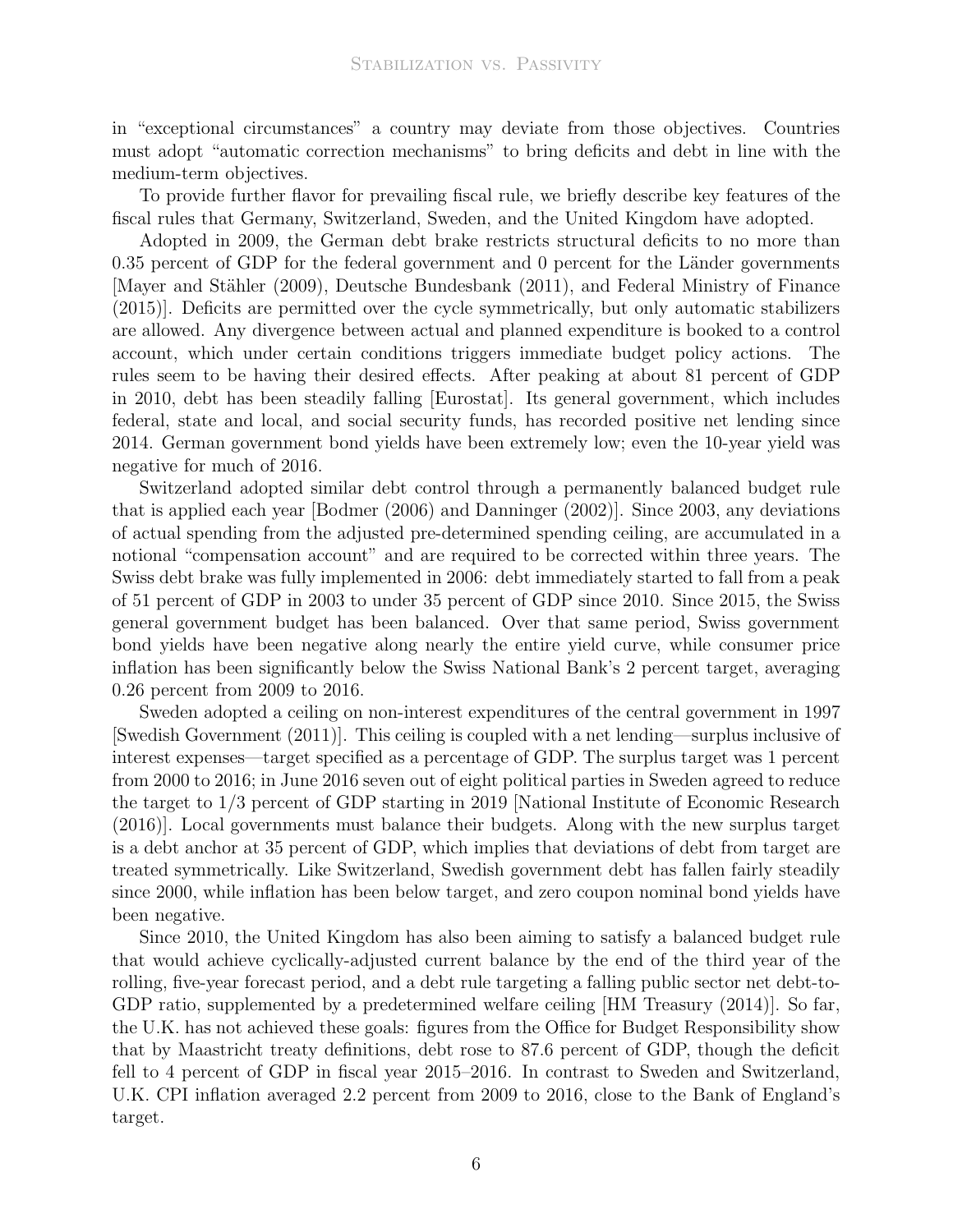in "exceptional circumstances" a country may deviate from those objectives. Countries must adopt "automatic correction mechanisms" to bring deficits and debt in line with the medium-term objectives.

To provide further flavor for prevailing fiscal rule, we briefly describe key features of the fiscal rules that Germany, Switzerland, Sweden, and the United Kingdom have adopted.

Adopted in 2009, the German debt brake restricts structural deficits to no more than 0.35 percent of GDP for the federal government and 0 percent for the Länder governments [Mayer and Stähler (2009), [Deutsche Bundesbank \(2011](#page-8-10)), and [Federal Ministry of Finance](#page-8-11) [\(2015](#page-8-11))]. Deficits are permitted over the cycle symmetrically, but only automatic stabilizers are allowed. Any divergence between actual and planned expenditure is booked to a control account, which under certain conditions triggers immediate budget policy actions. The rules seem to be having their desired effects. After peaking at about 81 percent of GDP in 2010, debt has been steadily falling [Eurostat]. Its general government, which includes federal, state and local, and social security funds, has recorded positive net lending since 2014. German government bond yields have been extremely low; even the 10-year yield was negative for much of 2016.

Switzerland adopted similar debt control through a permanently balanced budget rule that is applied each year [\[Bodmer \(2006](#page-8-12)) and [Danninger \(2002](#page-8-13))]. Since 2003, any deviations of actual spending from the adjusted pre-determined spending ceiling, are accumulated in a notional "compensation account" and are required to be corrected within three years. The Swiss debt brake was fully implemented in 2006: debt immediately started to fall from a peak of 51 percent of GDP in 2003 to under 35 percent of GDP since 2010. Since 2015, the Swiss general government budget has been balanced. Over that same period, Swiss government bond yields have been negative along nearly the entire yield curve, while consumer price inflation has been significantly below the Swiss National Bank's 2 percent target, averaging 0.26 percent from 2009 to 2016.

Sweden adopted a ceiling on non-interest expenditures of the central government in 1997 [\[Swedish Government \(2011](#page-9-7))]. This ceiling is coupled with a net lending—surplus inclusive of interest expenses—target specified as a percentage of GDP. The surplus target was 1 percent from 2000 to 2016; in June 2016 seven out of eight political parties in Sweden agreed to reduce the target to 1/3 percent of GDP starting in 2019 [\[National Institute of Economic Research](#page-8-14) [\(2016](#page-8-14))]. Local governments must balance their budgets. Along with the new surplus target is a debt anchor at 35 percent of GDP, which implies that deviations of debt from target are treated symmetrically. Like Switzerland, Swedish government debt has fallen fairly steadily since 2000, while inflation has been below target, and zero coupon nominal bond yields have been negative.

Since 2010, the United Kingdom has also been aiming to satisfy a balanced budget rule that would achieve cyclically-adjusted current balance by the end of the third year of the rolling, five-year forecast period, and a debt rule targeting a falling public sector net debt-to-GDP ratio, supplemented by a predetermined welfare ceiling [\[HM Treasury \(2014](#page-8-15))]. So far, the U.K. has not achieved these goals: figures from the Office for Budget Responsibility show that by Maastricht treaty definitions, debt rose to 87.6 percent of GDP, though the deficit fell to 4 percent of GDP in fiscal year 2015–2016. In contrast to Sweden and Switzerland, U.K. CPI inflation averaged 2.2 percent from 2009 to 2016, close to the Bank of England's target.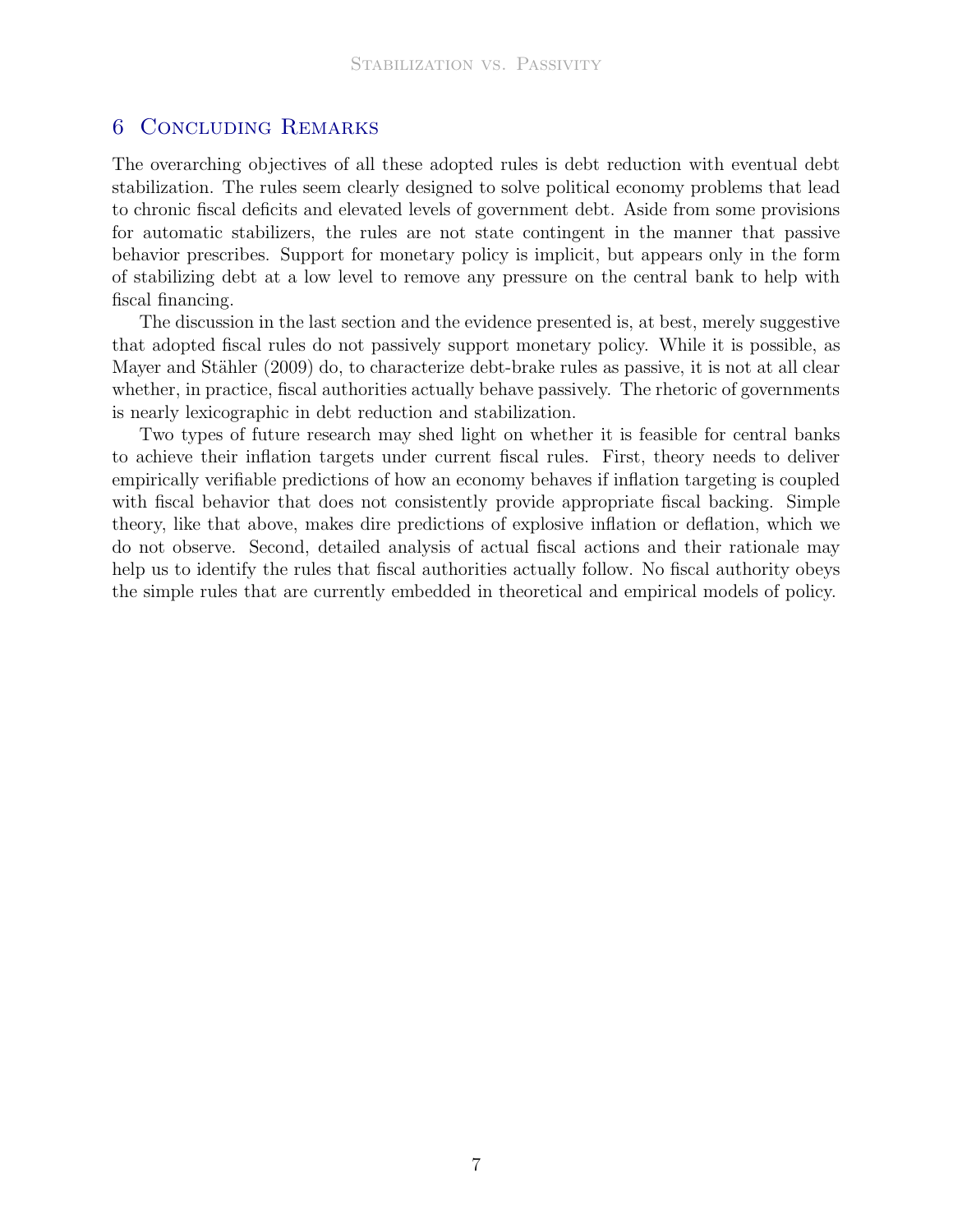# 6 Concluding Remarks

The overarching objectives of all these adopted rules is debt reduction with eventual debt stabilization. The rules seem clearly designed to solve political economy problems that lead to chronic fiscal deficits and elevated levels of government debt. Aside from some provisions for automatic stabilizers, the rules are not state contingent in the manner that passive behavior prescribes. Support for monetary policy is implicit, but appears only in the form of stabilizing debt at a low level to remove any pressure on the central bank to help with fiscal financing.

The discussion in the last section and the evidence presented is, at best, merely suggestive that adopted fiscal rules do not passively support monetary policy. While it is possible, as Mayer and Stähler (2009) do, to characterize debt-brake rules as passive, it is not at all clear whether, in practice, fiscal authorities actually behave passively. The rhetoric of governments is nearly lexicographic in debt reduction and stabilization.

Two types of future research may shed light on whether it is feasible for central banks to achieve their inflation targets under current fiscal rules. First, theory needs to deliver empirically verifiable predictions of how an economy behaves if inflation targeting is coupled with fiscal behavior that does not consistently provide appropriate fiscal backing. Simple theory, like that above, makes dire predictions of explosive inflation or deflation, which we do not observe. Second, detailed analysis of actual fiscal actions and their rationale may help us to identify the rules that fiscal authorities actually follow. No fiscal authority obeys the simple rules that are currently embedded in theoretical and empirical models of policy.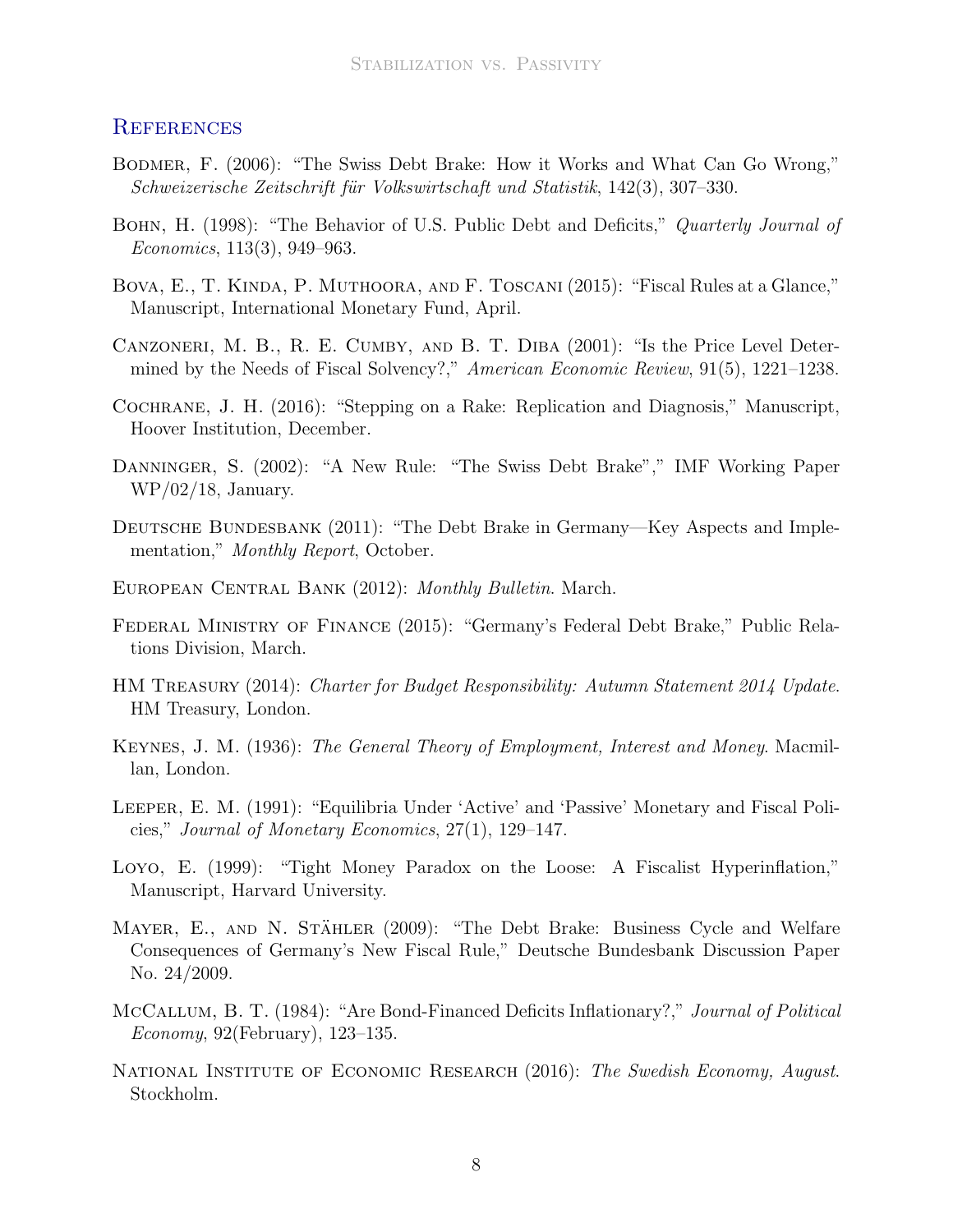## **REFERENCES**

- <span id="page-8-12"></span>Bodmer, F. (2006): "The Swiss Debt Brake: How it Works and What Can Go Wrong," Schweizerische Zeitschrift für Volkswirtschaft und Statistik, 142(3), 307–330.
- <span id="page-8-3"></span>BOHN, H. (1998): "The Behavior of U.S. Public Debt and Deficits," Quarterly Journal of Economics, 113(3), 949–963.
- <span id="page-8-5"></span>Bova, E., T. Kinda, P. Muthoora, and F. Toscani (2015): "Fiscal Rules at a Glance," Manuscript, International Monetary Fund, April.
- <span id="page-8-4"></span>Canzoneri, M. B., R. E. Cumby, and B. T. Diba (2001): "Is the Price Level Determined by the Needs of Fiscal Solvency?," American Economic Review, 91(5), 1221–1238.
- <span id="page-8-2"></span>Cochrane, J. H. (2016): "Stepping on a Rake: Replication and Diagnosis," Manuscript, Hoover Institution, December.
- <span id="page-8-13"></span>Danninger, S. (2002): "A New Rule: "The Swiss Debt Brake"," IMF Working Paper WP/02/18, January.
- <span id="page-8-10"></span>DEUTSCHE BUNDESBANK (2011): "The Debt Brake in Germany—Key Aspects and Implementation," Monthly Report, October.
- <span id="page-8-6"></span>EUROPEAN CENTRAL BANK (2012): Monthly Bulletin. March.
- <span id="page-8-11"></span>Federal Ministry of Finance (2015): "Germany's Federal Debt Brake," Public Relations Division, March.
- <span id="page-8-15"></span>HM Treasury (2014): Charter for Budget Responsibility: Autumn Statement 2014 Update. HM Treasury, London.
- <span id="page-8-0"></span>Keynes, J. M. (1936): The General Theory of Employment, Interest and Money. Macmillan, London.
- <span id="page-8-1"></span>Leeper, E. M. (1991): "Equilibria Under 'Active' and 'Passive' Monetary and Fiscal Policies," Journal of Monetary Economics, 27(1), 129–147.
- <span id="page-8-7"></span>Loyo, E. (1999): "Tight Money Paradox on the Loose: A Fiscalist Hyperinflation," Manuscript, Harvard University.
- <span id="page-8-9"></span>MAYER, E., AND N. STÄHLER (2009): "The Debt Brake: Business Cycle and Welfare Consequences of Germany's New Fiscal Rule," Deutsche Bundesbank Discussion Paper No. 24/2009.
- <span id="page-8-8"></span>McCallum, B. T. (1984): "Are Bond-Financed Deficits Inflationary?," Journal of Political Economy, 92(February), 123–135.
- <span id="page-8-14"></span>NATIONAL INSTITUTE OF ECONOMIC RESEARCH (2016): The Swedish Economy, August. Stockholm.